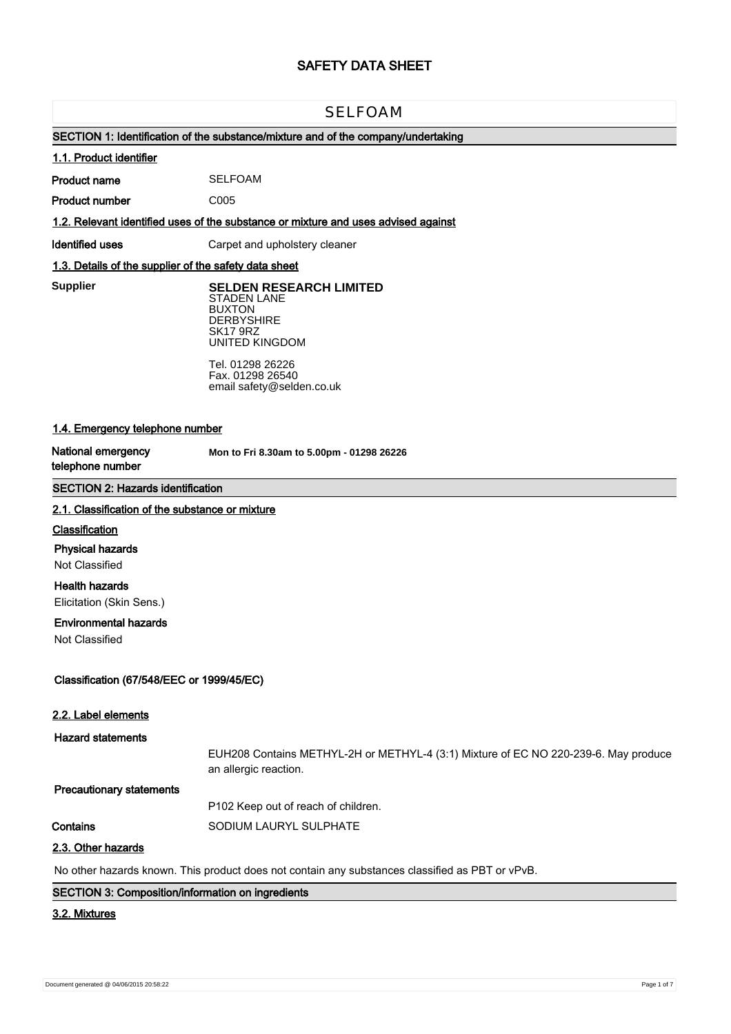# **SAFETY DATA SHEET**

# SELFOAM

# **SECTION 1: Identification of the substance/mixture and of the company/undertaking**

## **1.1. Product identifier**

**Product name** SELFOAM

**Product number**

**1.2. Relevant identified uses of the substance or mixture and uses advised against**

C005

**Identified uses Carpet and upholstery cleaner** 

## **1.3. Details of the supplier of the safety data sheet**

**Supplier** 

**SELDEN RESEARCH LIMITED** STADEN LANE BUXTON **DERBYSHIRE** SK17 9RZ

UNITED KINGDOM Tel. 01298 26226 Fax. 01298 26540 email safety@selden.co.uk

# **1.4. Emergency telephone number**

**National emergency telephone number**

**Mon to Fri 8.30am to 5.00pm - 01298 26226**

# **SECTION 2: Hazards identification**

#### **2.1. Classification of the substance or mixture**

## **Classification**

**Physical hazards**

Not Classified

**Health hazards**

Elicitation (Skin Sens.)

# **Environmental hazards**

Not Classified

# **Classification (67/548/EEC or 1999/45/EC)**

| 2.2. Label elements             |                                                                                                              |
|---------------------------------|--------------------------------------------------------------------------------------------------------------|
| <b>Hazard statements</b>        |                                                                                                              |
|                                 | EUH208 Contains METHYL-2H or METHYL-4 (3:1) Mixture of EC NO 220-239-6. May produce<br>an allergic reaction. |
| <b>Precautionary statements</b> |                                                                                                              |
|                                 | P102 Keep out of reach of children.                                                                          |
| Contains                        | SODIUM LAURYL SULPHATE                                                                                       |
| 2.3. Other hazards              |                                                                                                              |

No other hazards known. This product does not contain any substances classified as PBT or vPvB.

## **SECTION 3: Composition/information on ingredients**

### **3.2. Mixtures**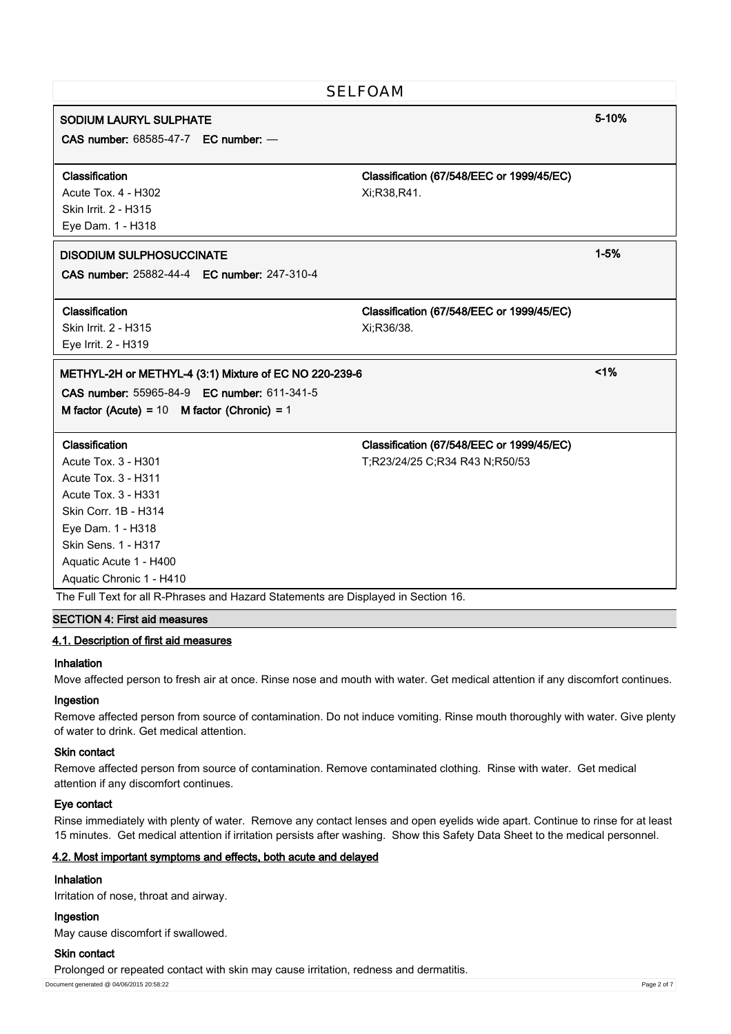| <b>SELFOAM</b>                                                                     |                                           |          |  |
|------------------------------------------------------------------------------------|-------------------------------------------|----------|--|
| <b>SODIUM LAURYL SULPHATE</b>                                                      |                                           | 5-10%    |  |
| <b>CAS number: 68585-47-7 EC number: -</b>                                         |                                           |          |  |
| Classification                                                                     | Classification (67/548/EEC or 1999/45/EC) |          |  |
| <b>Acute Tox. 4 - H302</b><br>Skin Irrit. 2 - H315                                 | Xi;R38,R41.                               |          |  |
| Eye Dam. 1 - H318                                                                  |                                           |          |  |
| <b>DISODIUM SULPHOSUCCINATE</b><br>CAS number: 25882-44-4 EC number: 247-310-4     |                                           | $1 - 5%$ |  |
| Classification                                                                     | Classification (67/548/EEC or 1999/45/EC) |          |  |
| Skin Irrit. 2 - H315                                                               | Xi:R36/38.                                |          |  |
| Eye Irrit. 2 - H319                                                                |                                           |          |  |
| METHYL-2H or METHYL-4 (3:1) Mixture of EC NO 220-239-6                             |                                           | 1%       |  |
| CAS number: 55965-84-9 EC number: 611-341-5                                        |                                           |          |  |
| M factor (Acute) = $10$ M factor (Chronic) = $1$                                   |                                           |          |  |
| Classification                                                                     | Classification (67/548/EEC or 1999/45/EC) |          |  |
| <b>Acute Tox. 3 - H301</b>                                                         | T;R23/24/25 C;R34 R43 N;R50/53            |          |  |
| <b>Acute Tox. 3 - H311</b>                                                         |                                           |          |  |
| <b>Acute Tox. 3 - H331</b>                                                         |                                           |          |  |
| Skin Corr. 1B - H314                                                               |                                           |          |  |
| Eye Dam. 1 - H318                                                                  |                                           |          |  |
| Skin Sens. 1 - H317                                                                |                                           |          |  |
| Aquatic Acute 1 - H400                                                             |                                           |          |  |
| Aquatic Chronic 1 - H410                                                           |                                           |          |  |
| The Full Text for all R-Phrases and Hazard Statements are Displayed in Section 16. |                                           |          |  |

# **SECTION 4: First aid measures**

#### **4.1. Description of first aid measures**

#### **Inhalation**

Move affected person to fresh air at once. Rinse nose and mouth with water. Get medical attention if any discomfort continues.

#### **Ingestion**

Remove affected person from source of contamination. Do not induce vomiting. Rinse mouth thoroughly with water. Give plenty of water to drink. Get medical attention.

## **Skin contact**

Remove affected person from source of contamination. Remove contaminated clothing. Rinse with water. Get medical attention if any discomfort continues.

### **Eye contact**

Rinse immediately with plenty of water. Remove any contact lenses and open eyelids wide apart. Continue to rinse for at least 15 minutes. Get medical attention if irritation persists after washing. Show this Safety Data Sheet to the medical personnel.

## **4.2. Most important symptoms and effects, both acute and delayed**

# **Inhalation**

Irritation of nose, throat and airway.

# **Ingestion**

May cause discomfort if swallowed.

#### **Skin contact**

Prolonged or repeated contact with skin may cause irritation, redness and dermatitis.

Document generated @ 04/06/2015 20:58:22 Page 2 of 7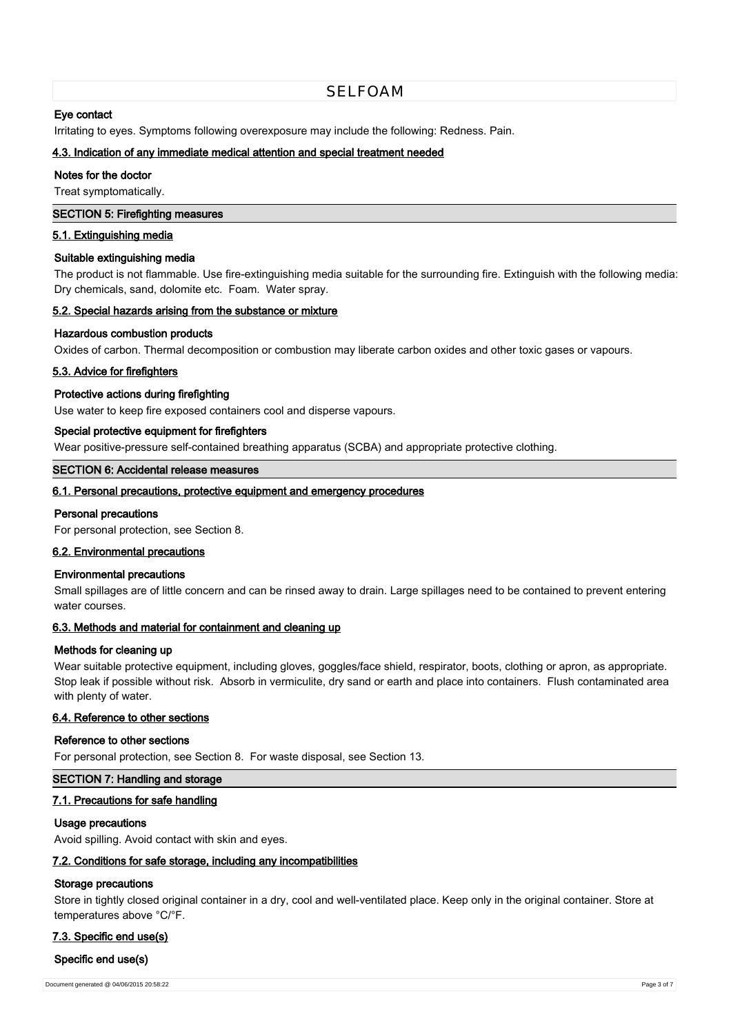# SELFOAM

## **Eye contact**

Irritating to eyes. Symptoms following overexposure may include the following: Redness. Pain.

### **4.3. Indication of any immediate medical attention and special treatment needed**

#### **Notes for the doctor**

Treat symptomatically.

### **SECTION 5: Firefighting measures**

#### **5.1. Extinguishing media**

### **Suitable extinguishing media**

The product is not flammable. Use fire-extinguishing media suitable for the surrounding fire. Extinguish with the following media: Dry chemicals, sand, dolomite etc. Foam. Water spray.

### **5.2. Special hazards arising from the substance or mixture**

### **Hazardous combustion products**

Oxides of carbon. Thermal decomposition or combustion may liberate carbon oxides and other toxic gases or vapours.

### **5.3. Advice for firefighters**

### **Protective actions during firefighting**

Use water to keep fire exposed containers cool and disperse vapours.

### **Special protective equipment for firefighters**

Wear positive-pressure self-contained breathing apparatus (SCBA) and appropriate protective clothing.

# **SECTION 6: Accidental release measures**

# **6.1. Personal precautions, protective equipment and emergency procedures**

#### **Personal precautions**

For personal protection, see Section 8.

## **6.2. Environmental precautions**

#### **Environmental precautions**

Small spillages are of little concern and can be rinsed away to drain. Large spillages need to be contained to prevent entering water courses.

### **6.3. Methods and material for containment and cleaning up**

#### **Methods for cleaning up**

Wear suitable protective equipment, including gloves, goggles/face shield, respirator, boots, clothing or apron, as appropriate. Stop leak if possible without risk. Absorb in vermiculite, dry sand or earth and place into containers. Flush contaminated area with plenty of water.

#### **6.4. Reference to other sections**

#### **Reference to other sections**

For personal protection, see Section 8. For waste disposal, see Section 13.

## **SECTION 7: Handling and storage**

## **7.1. Precautions for safe handling**

#### **Usage precautions**

Avoid spilling. Avoid contact with skin and eyes.

## **7.2. Conditions for safe storage, including any incompatibilities**

## **Storage precautions**

Store in tightly closed original container in a dry, cool and well-ventilated place. Keep only in the original container. Store at temperatures above °C/°F.

## **7.3. Specific end use(s)**

## **Specific end use(s)**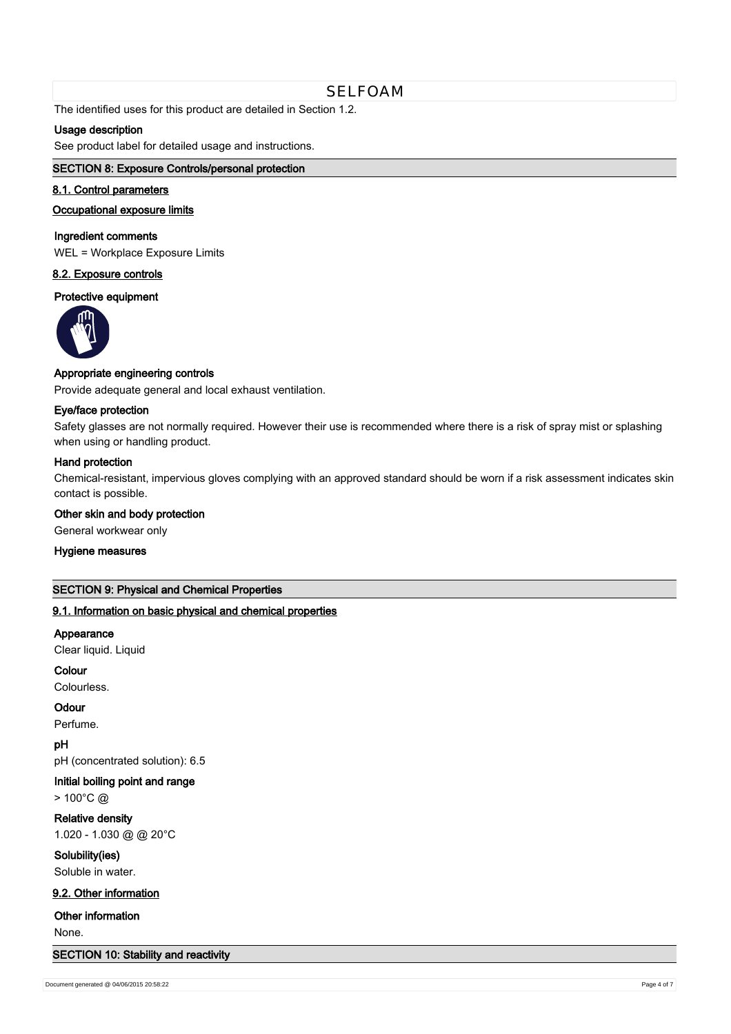The identified uses for this product are detailed in Section 1.2.

# **Usage description**

See product label for detailed usage and instructions.

# **SECTION 8: Exposure Controls/personal protection**

## **8.1. Control parameters**

### **Occupational exposure limits**

# **Ingredient comments**

WEL = Workplace Exposure Limits

# **8.2. Exposure controls**

### **Protective equipment**



# **Appropriate engineering controls**

Provide adequate general and local exhaust ventilation.

## **Eye/face protection**

Safety glasses are not normally required. However their use is recommended where there is a risk of spray mist or splashing when using or handling product.

## **Hand protection**

Chemical-resistant, impervious gloves complying with an approved standard should be worn if a risk assessment indicates skin contact is possible.

#### **Other skin and body protection**

General workwear only

#### **Hygiene measures**

#### **SECTION 9: Physical and Chemical Properties**

## **9.1. Information on basic physical and chemical properties**

#### **Appearance**

Clear liquid. Liquid

#### **Colour**

Colourless.

# **Odour**

Perfume.

# **pH**

pH (concentrated solution): 6.5

# **Initial boiling point and range**

> 100°C @

# **Relative density** 1.020 - 1.030 @ @ 20°C

# **Solubility(ies)** Soluble in water.

## **9.2. Other information**

**Other information**

None.

## **SECTION 10: Stability and reactivity**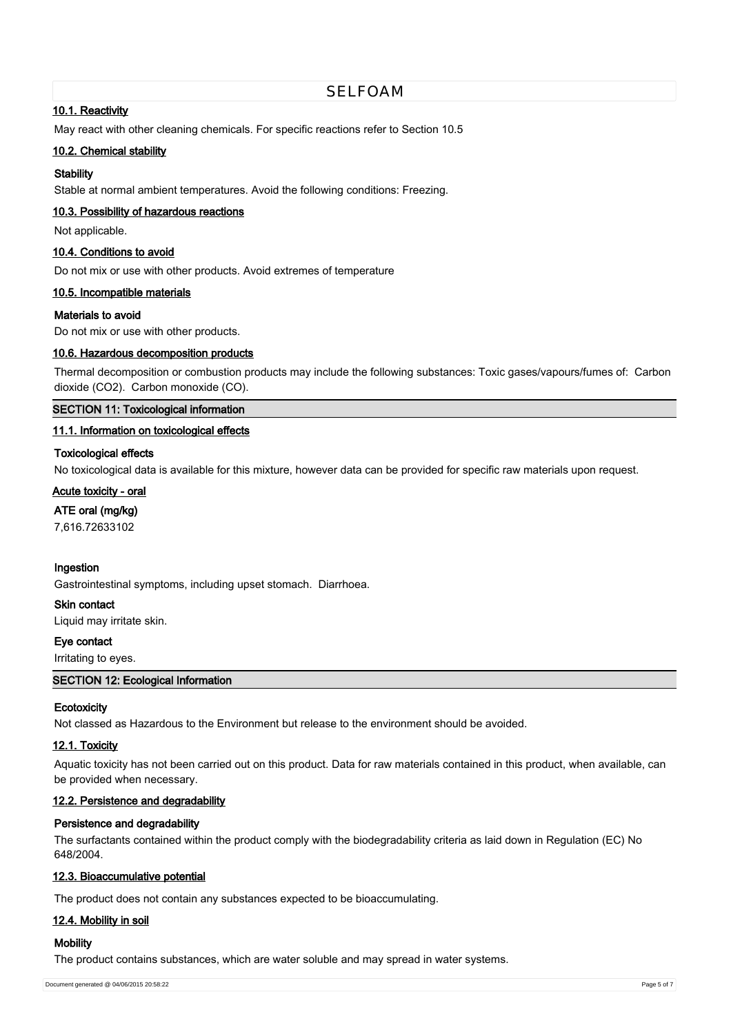# SELFOAM

# **10.1. Reactivity**

May react with other cleaning chemicals. For specific reactions refer to Section 10.5

## **10.2. Chemical stability**

# **Stability**

Stable at normal ambient temperatures. Avoid the following conditions: Freezing.

# **10.3. Possibility of hazardous reactions**

Not applicable.

## **10.4. Conditions to avoid**

Do not mix or use with other products. Avoid extremes of temperature

## **10.5. Incompatible materials**

## **Materials to avoid**

Do not mix or use with other products.

## **10.6. Hazardous decomposition products**

Thermal decomposition or combustion products may include the following substances: Toxic gases/vapours/fumes of: Carbon dioxide (CO2). Carbon monoxide (CO).

### **SECTION 11: Toxicological information**

## **11.1. Information on toxicological effects**

## **Toxicological effects**

No toxicological data is available for this mixture, however data can be provided for specific raw materials upon request.

# **Acute toxicity - oral**

**ATE oral (mg/kg)**

7,616.72633102

## **Ingestion**

Gastrointestinal symptoms, including upset stomach. Diarrhoea.

#### **Skin contact**

Liquid may irritate skin.

# **Eye contact**

# Irritating to eyes.

**SECTION 12: Ecological Information**

## **Ecotoxicity**

Not classed as Hazardous to the Environment but release to the environment should be avoided.

# **12.1. Toxicity**

Aquatic toxicity has not been carried out on this product. Data for raw materials contained in this product, when available, can be provided when necessary.

# **12.2. Persistence and degradability**

## **Persistence and degradability**

The surfactants contained within the product comply with the biodegradability criteria as laid down in Regulation (EC) No 648/2004.

## **12.3. Bioaccumulative potential**

The product does not contain any substances expected to be bioaccumulating.

# **12.4. Mobility in soil**

# **Mobility**

The product contains substances, which are water soluble and may spread in water systems.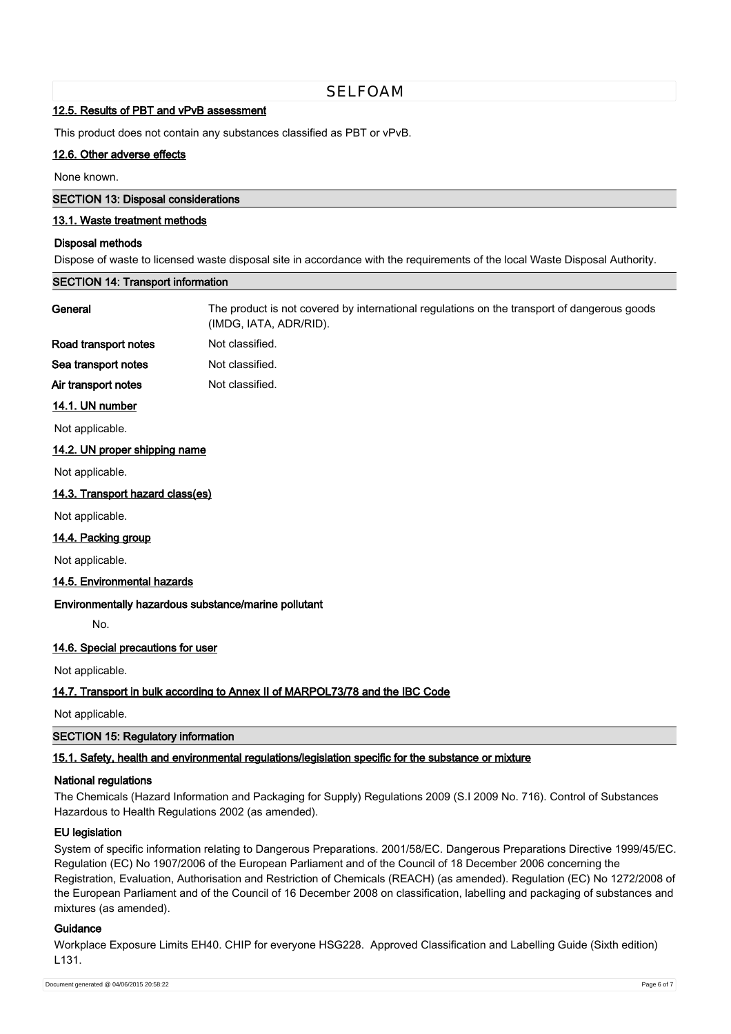# SELFOAM

#### **12.5. Results of PBT and vPvB assessment**

This product does not contain any substances classified as PBT or vPvB.

## **12.6. Other adverse effects**

None known.

#### **SECTION 13: Disposal considerations**

# **13.1. Waste treatment methods**

#### **Disposal methods**

Dispose of waste to licensed waste disposal site in accordance with the requirements of the local Waste Disposal Authority.

# **SECTION 14: Transport information**

| General                          | The product is not covered by international regulations on the transport of dangerous goods<br>(IMDG, IATA, ADR/RID). |
|----------------------------------|-----------------------------------------------------------------------------------------------------------------------|
| Road transport notes             | Not classified.                                                                                                       |
| Sea transport notes              | Not classified.                                                                                                       |
| Air transport notes              | Not classified.                                                                                                       |
| 14.1. UN number                  |                                                                                                                       |
| Not applicable.                  |                                                                                                                       |
| 14.2. UN proper shipping name    |                                                                                                                       |
| Not applicable.                  |                                                                                                                       |
| 14.3. Transport hazard class(es) |                                                                                                                       |
| Not applicable.                  |                                                                                                                       |

#### **14.4. Packing group**

Not applicable.

#### **14.5. Environmental hazards**

## **Environmentally hazardous substance/marine pollutant**

No.

#### **14.6. Special precautions for user**

Not applicable.

## **14.7. Transport in bulk according to Annex II of MARPOL73/78 and the IBC Code**

Not applicable.

### **SECTION 15: Regulatory information**

## **15.1. Safety, health and environmental regulations/legislation specific for the substance or mixture**

#### **National regulations**

The Chemicals (Hazard Information and Packaging for Supply) Regulations 2009 (S.I 2009 No. 716). Control of Substances Hazardous to Health Regulations 2002 (as amended).

#### **EU legislation**

System of specific information relating to Dangerous Preparations. 2001/58/EC. Dangerous Preparations Directive 1999/45/EC. Regulation (EC) No 1907/2006 of the European Parliament and of the Council of 18 December 2006 concerning the Registration, Evaluation, Authorisation and Restriction of Chemicals (REACH) (as amended). Regulation (EC) No 1272/2008 of the European Parliament and of the Council of 16 December 2008 on classification, labelling and packaging of substances and mixtures (as amended).

## **Guidance**

Workplace Exposure Limits EH40. CHIP for everyone HSG228. Approved Classification and Labelling Guide (Sixth edition) L131.